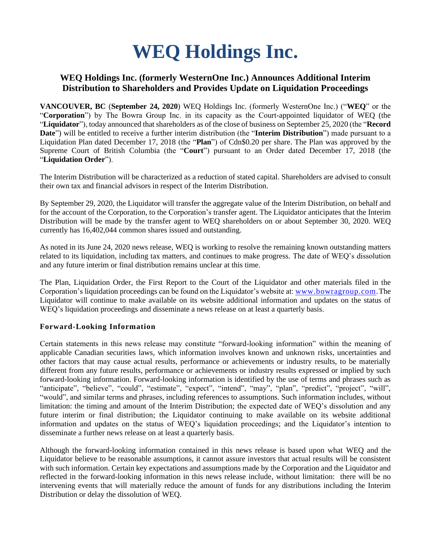# **WEQ Holdings Inc.**

## **WEQ Holdings Inc. (formerly WesternOne Inc.) Announces Additional Interim Distribution to Shareholders and Provides Update on Liquidation Proceedings**

**VANCOUVER, BC** (**September 24, 2020**) WEQ Holdings Inc. (formerly WesternOne Inc.) ("**WEQ**" or the "**Corporation**") by The Bowra Group Inc. in its capacity as the Court-appointed liquidator of WEQ (the "**Liquidator**"), today announced that shareholders as of the close of business on September 25, 2020 (the "**Record Date**") will be entitled to receive a further interim distribution (the "**Interim Distribution**") made pursuant to a Liquidation Plan dated December 17, 2018 (the "**Plan**") of Cdn\$0.20 per share. The Plan was approved by the Supreme Court of British Columbia (the "**Court**") pursuant to an Order dated December 17, 2018 (the "**Liquidation Order**").

The Interim Distribution will be characterized as a reduction of stated capital. Shareholders are advised to consult their own tax and financial advisors in respect of the Interim Distribution.

By September 29, 2020, the Liquidator will transfer the aggregate value of the Interim Distribution, on behalf and for the account of the Corporation, to the Corporation's transfer agent. The Liquidator anticipates that the Interim Distribution will be made by the transfer agent to WEQ shareholders on or about September 30, 2020. WEQ currently has 16,402,044 common shares issued and outstanding.

As noted in its June 24, 2020 news release, WEQ is working to resolve the remaining known outstanding matters related to its liquidation, including tax matters, and continues to make progress. The date of WEQ's dissolution and any future interim or final distribution remains unclear at this time.

The Plan, Liquidation Order, the First Report to the Court of the Liquidator and other materials filed in the Corporation's liquidation proceedings can be found on the Liquidator's website at: [www.bowragroup.com.](http://www.bowragroup.com/)The Liquidator will continue to make available on its website additional information and updates on the status of WEQ's liquidation proceedings and disseminate a news release on at least a quarterly basis.

## **Forward-Looking Information**

Certain statements in this news release may constitute "forward-looking information" within the meaning of applicable Canadian securities laws, which information involves known and unknown risks, uncertainties and other factors that may cause actual results, performance or achievements or industry results, to be materially different from any future results, performance or achievements or industry results expressed or implied by such forward-looking information. Forward-looking information is identified by the use of terms and phrases such as "anticipate", "believe", "could", "estimate", "expect", "intend", "may", "plan", "predict", "project", "will", "would", and similar terms and phrases, including references to assumptions. Such information includes, without limitation: the timing and amount of the Interim Distribution; the expected date of WEQ's dissolution and any future interim or final distribution; the Liquidator continuing to make available on its website additional information and updates on the status of WEQ's liquidation proceedings; and the Liquidator's intention to disseminate a further news release on at least a quarterly basis.

Although the forward-looking information contained in this news release is based upon what WEQ and the Liquidator believe to be reasonable assumptions, it cannot assure investors that actual results will be consistent with such information. Certain key expectations and assumptions made by the Corporation and the Liquidator and reflected in the forward-looking information in this news release include, without limitation: there will be no intervening events that will materially reduce the amount of funds for any distributions including the Interim Distribution or delay the dissolution of WEQ.